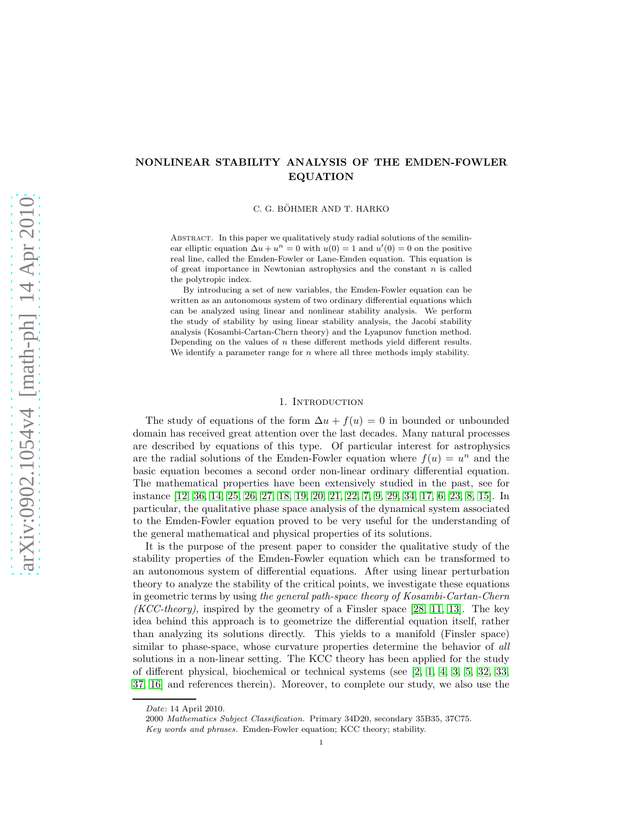# NONLINEAR STABILITY ANALYSIS OF THE EMDEN-FOWLER EQUATION

C. G. BÖHMER AND T. HARKO

Abstract. In this paper we qualitatively study radial solutions of the semilinear elliptic equation  $\Delta u + u^n = 0$  with  $u(0) = 1$  and  $u'(0) = 0$  on the positive real line, called the Emden-Fowler or Lane-Emden equation. This equation is of great importance in Newtonian astrophysics and the constant  $n$  is called the polytropic index.

By introducing a set of new variables, the Emden-Fowler equation can be written as an autonomous system of two ordinary differential equations which can be analyzed using linear and nonlinear stability analysis. We perform the study of stability by using linear stability analysis, the Jacobi stability analysis (Kosambi-Cartan-Chern theory) and the Lyapunov function method. Depending on the values of  $n$  these different methods yield different results. We identify a parameter range for  $n$  where all three methods imply stability.

### 1. INTRODUCTION

The study of equations of the form  $\Delta u + f(u) = 0$  in bounded or unbounded domain has received great attention over the last decades. Many natural processes are described by equations of this type. Of particular interest for astrophysics are the radial solutions of the Emden-Fowler equation where  $f(u) = u^n$  and the basic equation becomes a second order non-linear ordinary differential equation. The mathematical properties have been extensively studied in the past, see for instance [\[12,](#page-11-0) [36,](#page-11-1) [14,](#page-11-2) [25,](#page-11-3) [26,](#page-11-4) [27,](#page-11-5) [18,](#page-11-6) [19,](#page-11-7) [20,](#page-11-8) [21,](#page-11-9) [22,](#page-11-10) [7,](#page-10-0) [9,](#page-10-1) [29,](#page-11-11) [34,](#page-11-12) [17,](#page-11-13) [6,](#page-10-2) [23,](#page-11-14) [8,](#page-10-3) [15\]](#page-11-15). In particular, the qualitative phase space analysis of the dynamical system associated to the Emden-Fowler equation proved to be very useful for the understanding of the general mathematical and physical properties of its solutions.

It is the purpose of the present paper to consider the qualitative study of the stability properties of the Emden-Fowler equation which can be transformed to an autonomous system of differential equations. After using linear perturbation theory to analyze the stability of the critical points, we investigate these equations in geometric terms by using the general path-space theory of Kosambi-Cartan-Chern (*KCC-theory*), inspired by the geometry of a Finsler space [\[28,](#page-11-16) [11,](#page-10-4) [13\]](#page-11-17). The key idea behind this approach is to geometrize the differential equation itself, rather than analyzing its solutions directly. This yields to a manifold (Finsler space) similar to phase-space, whose curvature properties determine the behavior of all solutions in a non-linear setting. The KCC theory has been applied for the study of different physical, biochemical or technical systems (see [\[2,](#page-10-5) [1,](#page-10-6) [4,](#page-10-7) [3,](#page-10-8) [5,](#page-10-9) [32,](#page-11-18) [33,](#page-11-19) [37,](#page-11-20) [16\]](#page-11-21) and references therein). Moreover, to complete our study, we also use the

Date: 14 April 2010.

<sup>2000</sup> Mathematics Subject Classification. Primary 34D20, secondary 35B35, 37C75. Key words and phrases. Emden-Fowler equation; KCC theory; stability.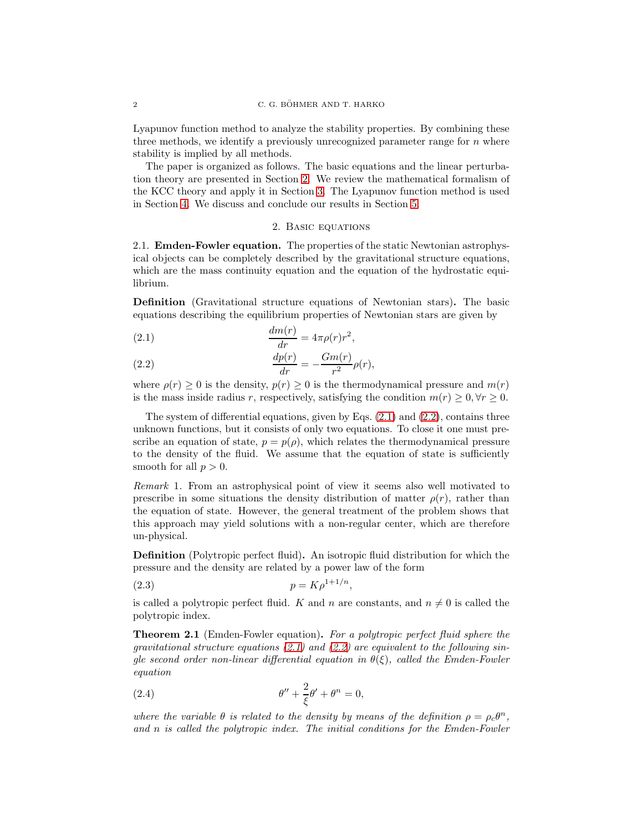Lyapunov function method to analyze the stability properties. By combining these three methods, we identify a previously unrecognized parameter range for  $n$  where stability is implied by all methods.

The paper is organized as follows. The basic equations and the linear perturbation theory are presented in Section [2.](#page-1-0) We review the mathematical formalism of the KCC theory and apply it in Section [3.](#page-4-0) The Lyapunov function method is used in Section [4.](#page-8-0) We discuss and conclude our results in Section [5.](#page-9-0)

### 2. Basic equations

<span id="page-1-0"></span>2.1. Emden-Fowler equation. The properties of the static Newtonian astrophysical objects can be completely described by the gravitational structure equations, which are the mass continuity equation and the equation of the hydrostatic equilibrium.

Definition (Gravitational structure equations of Newtonian stars). The basic equations describing the equilibrium properties of Newtonian stars are given by

<span id="page-1-1"></span>(2.1) 
$$
\frac{dm(r)}{dr} = 4\pi\rho(r)r^2,
$$

<span id="page-1-2"></span>(2.2) 
$$
\frac{dp(r)}{dr} = -\frac{Gm(r)}{r^2}\rho(r),
$$

where  $\rho(r) \geq 0$  is the density,  $p(r) \geq 0$  is the thermodynamical pressure and  $m(r)$ is the mass inside radius r, respectively, satisfying the condition  $m(r) \geq 0, \forall r \geq 0$ .

The system of differential equations, given by Eqs.  $(2.1)$  and  $(2.2)$ , contains three unknown functions, but it consists of only two equations. To close it one must prescribe an equation of state,  $p = p(\rho)$ , which relates the thermodynamical pressure to the density of the fluid. We assume that the equation of state is sufficiently smooth for all  $p > 0$ .

Remark 1. From an astrophysical point of view it seems also well motivated to prescribe in some situations the density distribution of matter  $\rho(r)$ , rather than the equation of state. However, the general treatment of the problem shows that this approach may yield solutions with a non-regular center, which are therefore un-physical.

Definition (Polytropic perfect fluid). An isotropic fluid distribution for which the pressure and the density are related by a power law of the form

$$
(2.3) \t\t\t p = K\rho^{1+1/n},
$$

is called a polytropic perfect fluid. K and n are constants, and  $n \neq 0$  is called the polytropic index.

Theorem 2.1 (Emden-Fowler equation). For a polytropic perfect fluid sphere the gravitational structure equations  $(2.1)$  and  $(2.2)$  are equivalent to the following single second order non-linear differential equation in  $\theta(\xi)$ , called the Emden-Fowler equation

<span id="page-1-3"></span>(2.4) 
$$
\theta'' + \frac{2}{\xi}\theta' + \theta^n = 0,
$$

where the variable  $\theta$  is related to the density by means of the definition  $\rho = \rho_c \theta^n$ , and n is called the polytropic index. The initial conditions for the Emden-Fowler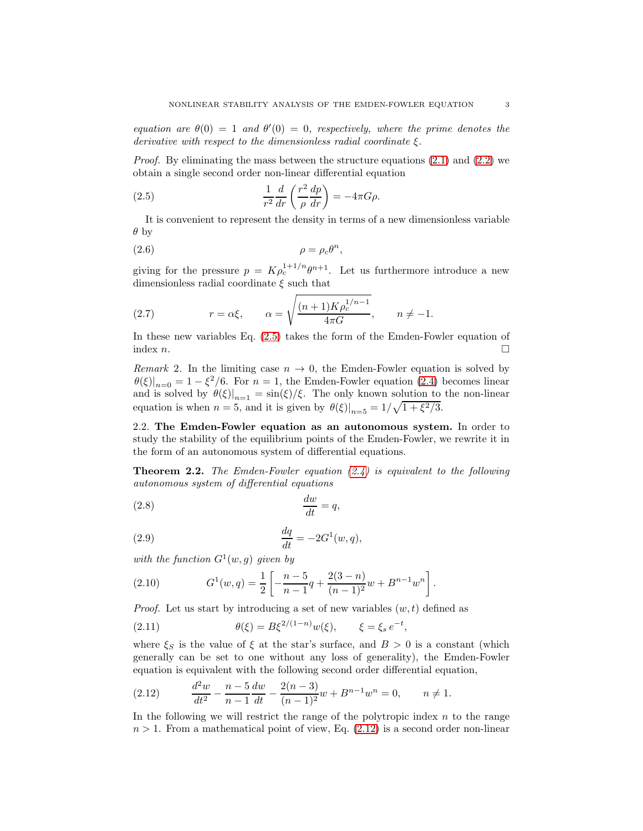equation are  $\theta(0) = 1$  and  $\theta'(0) = 0$ , respectively, where the prime denotes the derivative with respect to the dimensionless radial coordinate  $\xi$ .

*Proof.* By eliminating the mass between the structure equations  $(2.1)$  and  $(2.2)$  we obtain a single second order non-linear differential equation

<span id="page-2-0"></span>(2.5) 
$$
\frac{1}{r^2}\frac{d}{dr}\left(\frac{r^2}{\rho}\frac{dp}{dr}\right) = -4\pi G\rho.
$$

It is convenient to represent the density in terms of a new dimensionless variable  $\theta$  by

$$
(2.6) \qquad \rho = \rho_c \theta^n,
$$

giving for the pressure  $p = K \rho_c^{1+1/n} \theta^{n+1}$ . Let us furthermore introduce a new dimensionless radial coordinate  $\xi$  such that

(2.7) 
$$
r = \alpha \xi, \qquad \alpha = \sqrt{\frac{(n+1)K \rho_c^{1/n-1}}{4\pi G}}, \qquad n \neq -1.
$$

In these new variables Eq. [\(2.5\)](#page-2-0) takes the form of the Emden-Fowler equation of index  $n$ .

Remark 2. In the limiting case  $n \to 0$ , the Emden-Fowler equation is solved by  $\theta(\xi)|_{n=0} = 1 - \xi^2/6$ . For  $n = 1$ , the Emden-Fowler equation [\(2.4\)](#page-1-3) becomes linear and is solved by  $\theta(\xi)|_{n=1} = \sin(\xi)/\xi$ . The only known solution to the non-linear equation is when  $n = 5$ , and it is given by  $\theta(\xi)|_{n=5} = 1/\sqrt{1 + \xi^2/3}$ .

2.2. The Emden-Fowler equation as an autonomous system. In order to study the stability of the equilibrium points of the Emden-Fowler, we rewrite it in the form of an autonomous system of differential equations.

**Theorem 2.2.** The Emden-Fowler equation  $(2.4)$  is equivalent to the following autonomous system of differential equations

<span id="page-2-3"></span>
$$
\frac{dw}{dt} = q,
$$

<span id="page-2-4"></span>
$$
\frac{dq}{dt} = -2G^1(w, q),
$$

with the function  $G^1(w, g)$  given by

<span id="page-2-2"></span>(2.10) 
$$
G^{1}(w,q) = \frac{1}{2} \left[ -\frac{n-5}{n-1}q + \frac{2(3-n)}{(n-1)^{2}}w + B^{n-1}w^{n} \right].
$$

*Proof.* Let us start by introducing a set of new variables  $(w, t)$  defined as

(2.11) 
$$
\theta(\xi) = B\xi^{2/(1-n)}w(\xi), \qquad \xi = \xi_s e^{-t},
$$

where  $\xi_S$  is the value of  $\xi$  at the star's surface, and  $B > 0$  is a constant (which generally can be set to one without any loss of generality), the Emden-Fowler equation is equivalent with the following second order differential equation,

<span id="page-2-1"></span>(2.12) 
$$
\frac{d^2w}{dt^2} - \frac{n-5}{n-1}\frac{dw}{dt} - \frac{2(n-3)}{(n-1)^2}w + B^{n-1}w^n = 0, \qquad n \neq 1.
$$

In the following we will restrict the range of the polytropic index  $n$  to the range  $n > 1$ . From a mathematical point of view, Eq.  $(2.12)$  is a second order non-linear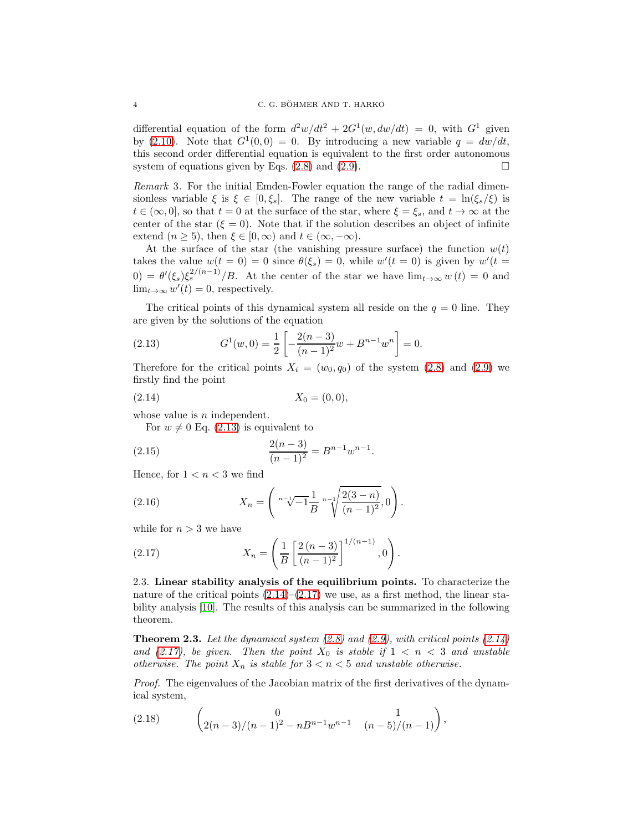differential equation of the form  $d^2w/dt^2 + 2G^1(w, dw/dt) = 0$ , with  $G^1$  given by [\(2.10\)](#page-2-2). Note that  $G^1(0,0) = 0$ . By introducing a new variable  $q = dw/dt$ , this second order differential equation is equivalent to the first order autonomous system of equations given by Eqs.  $(2.8)$  and  $(2.9)$ .

Remark 3. For the initial Emden-Fowler equation the range of the radial dimensionless variable  $\xi$  is  $\xi \in [0, \xi_s]$ . The range of the new variable  $t = \ln(\xi_s/\xi)$  is  $t \in (\infty, 0]$ , so that  $t = 0$  at the surface of the star, where  $\xi = \xi_s$ , and  $t \to \infty$  at the center of the star  $(\xi = 0)$ . Note that if the solution describes an object of infinite extend  $(n \geq 5)$ , then  $\xi \in [0, \infty)$  and  $t \in (\infty, -\infty)$ .

At the surface of the star (the vanishing pressure surface) the function  $w(t)$ takes the value  $w(t = 0) = 0$  since  $\theta(\xi_s) = 0$ , while  $w'(t = 0)$  is given by  $w'(t = 0)$  $(0) = \theta'(\xi_s) \xi_s^{2/(n-1)}/B$ . At the center of the star we have  $\lim_{t\to\infty} w(t) = 0$  and  $\lim_{t\to\infty} w'(t) = 0$ , respectively.

The critical points of this dynamical system all reside on the  $q = 0$  line. They are given by the solutions of the equation

<span id="page-3-0"></span>(2.13) 
$$
G^{1}(w, 0) = \frac{1}{2} \left[ -\frac{2(n-3)}{(n-1)^{2}} w + B^{n-1} w^{n} \right] = 0.
$$

Therefore for the critical points  $X_i = (w_0, q_0)$  of the system [\(2.8\)](#page-2-3) and [\(2.9\)](#page-2-4) we firstly find the point

<span id="page-3-1"></span>
$$
(2.14) \t\t X_0 = (0,0),
$$

whose value is  $n$  independent.

For  $w \neq 0$  Eq. [\(2.13\)](#page-3-0) is equivalent to

(2.15) 
$$
\frac{2(n-3)}{(n-1)^2} = B^{n-1}w^{n-1}.
$$

Hence, for  $1 < n < 3$  we find

(2.16) 
$$
X_n = \left( \sqrt[n-1]{-1} \frac{1}{B} \sqrt[n-1]{\frac{2(3-n)}{(n-1)^2}}, 0 \right).
$$

while for  $n > 3$  we have

<span id="page-3-2"></span>(2.17) 
$$
X_n = \left(\frac{1}{B} \left[ \frac{2(n-3)}{(n-1)^2} \right]^{1/(n-1)}, 0\right).
$$

2.3. Linear stability analysis of the equilibrium points. To characterize the nature of the critical points  $(2.14)$ – $(2.17)$  we use, as a first method, the linear stability analysis [\[10\]](#page-10-10). The results of this analysis can be summarized in the following theorem.

**Theorem 2.3.** Let the dynamical system  $(2.8)$  and  $(2.9)$ , with critical points  $(2.14)$ and [\(2.17\)](#page-3-2), be given. Then the point  $X_0$  is stable if  $1 < n < 3$  and unstable otherwise. The point  $X_n$  is stable for  $3 < n < 5$  and unstable otherwise.

Proof. The eigenvalues of the Jacobian matrix of the first derivatives of the dynamical system,

(2.18) 
$$
\begin{pmatrix} 0 & 1 \ 2(n-3)/(n-1)^2 - nB^{n-1}w^{n-1} & (n-5)/(n-1) \end{pmatrix},
$$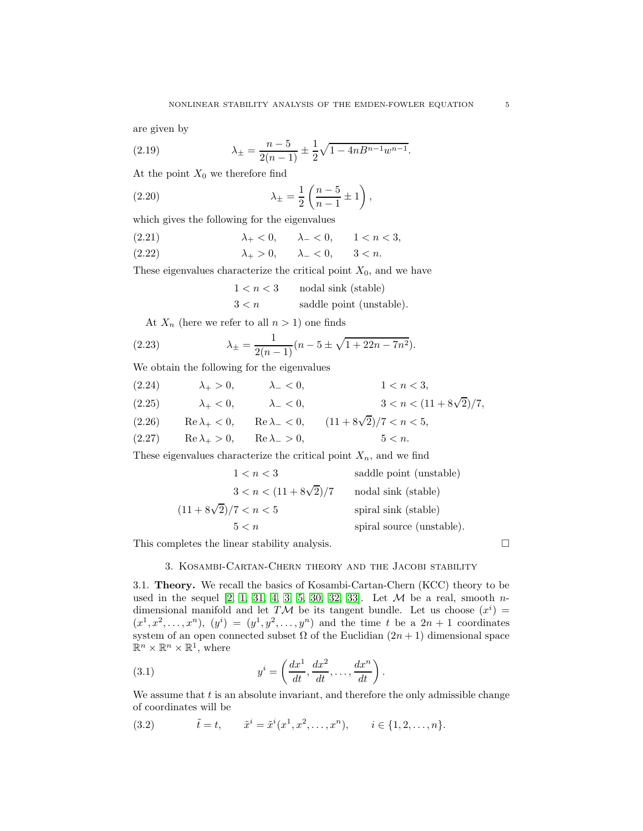are given by

(2.19) 
$$
\lambda_{\pm} = \frac{n-5}{2(n-1)} \pm \frac{1}{2} \sqrt{1 - 4nB^{n-1}w^{n-1}}.
$$

At the point  $X_0$  we therefore find

(2.20) 
$$
\lambda_{\pm} = \frac{1}{2} \left( \frac{n-5}{n-1} \pm 1 \right),
$$

which gives the following for the eigenvalues

(2.21) 
$$
\lambda_+ < 0, \quad \lambda_- < 0, \quad 1 < n < 3,
$$
  
(2.22) 
$$
\lambda_+ > 0, \quad \lambda_- < 0, \quad 3 < n.
$$

These eigenvalues characterize the critical point  $X_0$ , and we have

$$
\begin{aligned} 1 &< n < 3 &\qquad \text{nodal sink (stable)}\\ 3 &< n &\qquad \text{saddle point (unstable)}. \end{aligned}
$$

At  $X_n$  (here we refer to all  $n > 1$ ) one finds

(2.23) 
$$
\lambda_{\pm} = \frac{1}{2(n-1)} (n-5 \pm \sqrt{1+22n-7n^2}).
$$

We obtain the following for the eigenvalues

(2.24)  $\lambda_+ > 0, \qquad \lambda_- < 0, \qquad 1 < n < 3,$ (2.25)  $\lambda_+ < 0, \qquad \lambda_- < 0, \qquad 3 < n < (11 + 8\sqrt{2})/7,$ (2.26) Re  $\lambda_+ < 0$ , Re  $\lambda_- < 0$ ,  $(11 + 8\sqrt{2})/7 < n < 5$ , (2.27) Re  $\lambda_+ > 0$ , Re  $\lambda_- > 0$ , 5 < n.

These eigenvalues characterize the critical point  $X_n$ , and we find

| 1 < n < 3                    | saddle point (unstable)   |
|------------------------------|---------------------------|
| $3 < n < (11 + 8\sqrt{2})/7$ | nodal sink (stable)       |
| $(11+8\sqrt{2})/7 < n < 5$   | spiral sink (stable)      |
| 5 < n                        | spiral source (unstable). |

<span id="page-4-0"></span>This completes the linear stability analysis.

## 3. Kosambi-Cartan-Chern theory and the Jacobi stability

3.1. Theory. We recall the basics of Kosambi-Cartan-Chern (KCC) theory to be used in the sequel  $[2, 1, 31, 4, 3, 5, 30, 32, 33]$  $[2, 1, 31, 4, 3, 5, 30, 32, 33]$  $[2, 1, 31, 4, 3, 5, 30, 32, 33]$  $[2, 1, 31, 4, 3, 5, 30, 32, 33]$  $[2, 1, 31, 4, 3, 5, 30, 32, 33]$  $[2, 1, 31, 4, 3, 5, 30, 32, 33]$  $[2, 1, 31, 4, 3, 5, 30, 32, 33]$  $[2, 1, 31, 4, 3, 5, 30, 32, 33]$  $[2, 1, 31, 4, 3, 5, 30, 32, 33]$ . Let  $M$  be a real, smooth ndimensional manifold and let TM be its tangent bundle. Let us choose  $(x^i)$  =  $(x^1, x^2, \ldots, x^n), (y^i) = (y^1, y^2, \ldots, y^n)$  and the time t be a  $2n + 1$  coordinates system of an open connected subset  $\Omega$  of the Euclidian  $(2n + 1)$  dimensional space  $\mathbb{R}^n \times \mathbb{R}^n \times \mathbb{R}^1$ , where

(3.1) 
$$
y^{i} = \left(\frac{dx^{1}}{dt}, \frac{dx^{2}}{dt}, \dots, \frac{dx^{n}}{dt}\right).
$$

We assume that  $t_i$  is an absolute invariant, and therefore the only admissible change of coordinates will be

<span id="page-4-1"></span>(3.2)  $\tilde{t} = t, \quad \tilde{x}^i = \tilde{x}^i(x^1, x^2, \dots, x^n), \quad i \in \{1, 2, \dots, n\}.$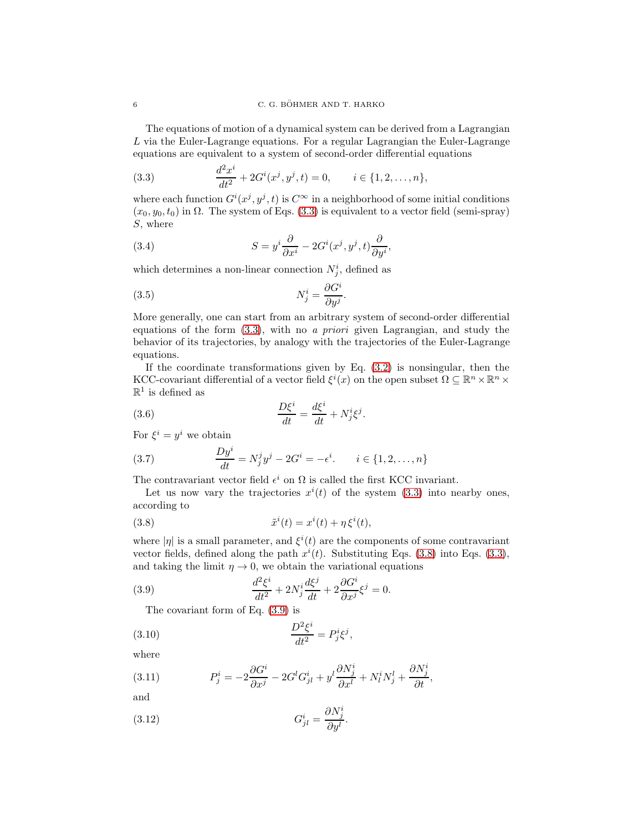The equations of motion of a dynamical system can be derived from a Lagrangian L via the Euler-Lagrange equations. For a regular Lagrangian the Euler-Lagrange equations are equivalent to a system of second-order differential equations

<span id="page-5-0"></span>(3.3) 
$$
\frac{d^2x^i}{dt^2} + 2G^i(x^j, y^j, t) = 0, \qquad i \in \{1, 2, ..., n\},
$$

where each function  $G^{i}(x^{j}, y^{j}, t)$  is  $C^{\infty}$  in a neighborhood of some initial conditions  $(x_0, y_0, t_0)$  in  $\Omega$ . The system of Eqs. [\(3.3\)](#page-5-0) is equivalent to a vector field (semi-spray) S, where

(3.4) 
$$
S = y^{i} \frac{\partial}{\partial x^{i}} - 2G^{i}(x^{j}, y^{j}, t) \frac{\partial}{\partial y^{i}},
$$

which determines a non-linear connection  $N_j^i$ , defined as

(3.5) 
$$
N_j^i = \frac{\partial G^i}{\partial y^j}.
$$

More generally, one can start from an arbitrary system of second-order differential equations of the form  $(3.3)$ , with no a priori given Lagrangian, and study the behavior of its trajectories, by analogy with the trajectories of the Euler-Lagrange equations.

If the coordinate transformations given by Eq.  $(3.2)$  is nonsingular, then the KCC-covariant differential of a vector field  $\xi^i(x)$  on the open subset  $\Omega \subseteq \mathbb{R}^n \times \mathbb{R}^n \times$  $\mathbb{R}^1$  is defined as

(3.6) 
$$
\frac{D\xi^i}{dt} = \frac{d\xi^i}{dt} + N^i_j \xi^j.
$$

For  $\xi^i = y^i$  we obtain

(3.7) 
$$
\frac{Dy^{i}}{dt} = N_{j}^{j}y^{j} - 2G^{i} = -\epsilon^{i}. \qquad i \in \{1, 2, ..., n\}
$$

The contravariant vector field  $\epsilon^i$  on  $\Omega$  is called the first KCC invariant.

Let us now vary the trajectories  $x^{i}(t)$  of the system [\(3.3\)](#page-5-0) into nearby ones, according to

<span id="page-5-1"></span>(3.8) 
$$
\tilde{x}^{i}(t) = x^{i}(t) + \eta \xi^{i}(t),
$$

where  $|\eta|$  is a small parameter, and  $\xi^i(t)$  are the components of some contravariant vector fields, defined along the path  $x^{i}(t)$ . Substituting Eqs. [\(3.8\)](#page-5-1) into Eqs. [\(3.3\)](#page-5-0), and taking the limit  $\eta \to 0$ , we obtain the variational equations

<span id="page-5-2"></span>(3.9) 
$$
\frac{d^2\xi^i}{dt^2} + 2N_j^i \frac{d\xi^j}{dt} + 2\frac{\partial G^i}{\partial x^j}\xi^j = 0.
$$

The covariant form of Eq. [\(3.9\)](#page-5-2) is

<span id="page-5-3"></span>
$$
\frac{D^2\xi^i}{dt^2} = P^i_j\xi^j,
$$

where

(3.11) 
$$
P_j^i = -2\frac{\partial G^i}{\partial x^j} - 2G^l G^i_{jl} + y^l \frac{\partial N_j^i}{\partial x^l} + N_l^i N_j^l + \frac{\partial N_j^i}{\partial t},
$$

and

(3.12) 
$$
G_{jl}^{i} = \frac{\partial N_{j}^{i}}{\partial y^{l}}.
$$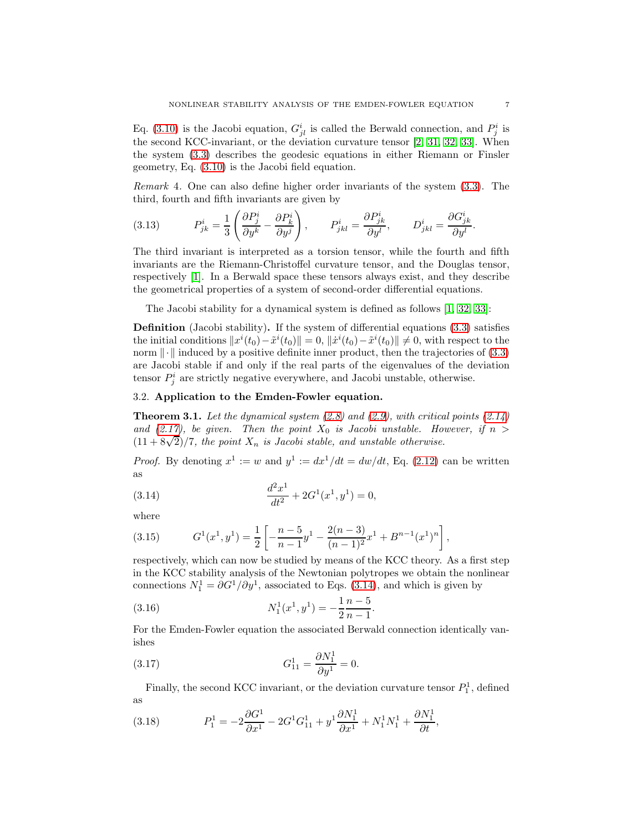Eq. [\(3.10\)](#page-5-3) is the Jacobi equation,  $G_{jl}^i$  is called the Berwald connection, and  $P_j^i$  is the second KCC-invariant, or the deviation curvature tensor [\[2,](#page-10-5) [31,](#page-11-22) [32,](#page-11-18) [33\]](#page-11-19). When the system [\(3.3\)](#page-5-0) describes the geodesic equations in either Riemann or Finsler geometry, Eq. [\(3.10\)](#page-5-3) is the Jacobi field equation.

Remark 4. One can also define higher order invariants of the system [\(3.3\)](#page-5-0). The third, fourth and fifth invariants are given by

(3.13) 
$$
P_{jk}^{i} = \frac{1}{3} \left( \frac{\partial P_{j}^{i}}{\partial y^{k}} - \frac{\partial P_{k}^{i}}{\partial y^{j}} \right), \qquad P_{jkl}^{i} = \frac{\partial P_{jk}^{i}}{\partial y^{l}}, \qquad D_{jkl}^{i} = \frac{\partial G_{jk}^{i}}{\partial y^{l}}.
$$

The third invariant is interpreted as a torsion tensor, while the fourth and fifth invariants are the Riemann-Christoffel curvature tensor, and the Douglas tensor, respectively [\[1\]](#page-10-6). In a Berwald space these tensors always exist, and they describe the geometrical properties of a system of second-order differential equations.

The Jacobi stability for a dynamical system is defined as follows [\[1,](#page-10-6) [32,](#page-11-18) [33\]](#page-11-19):

Definition (Jacobi stability). If the system of differential equations [\(3.3\)](#page-5-0) satisfies the initial conditions  $||x^{i}(t_0) - \tilde{x}^{i}(t_0)|| = 0$ ,  $||\dot{x}^{i}(t_0) - \tilde{x}^{i}(t_0)|| \neq 0$ , with respect to the norm  $\|\cdot\|$  induced by a positive definite inner product, then the trajectories of [\(3.3\)](#page-5-0) are Jacobi stable if and only if the real parts of the eigenvalues of the deviation tensor  $P_j^i$  are strictly negative everywhere, and Jacobi unstable, otherwise.

## 3.2. Application to the Emden-Fowler equation.

**Theorem 3.1.** Let the dynamical system  $(2.8)$  and  $(2.9)$ , with critical points  $(2.14)$ and [\(2.17\)](#page-3-2), be given. Then the point  $X_0$  is Jacobi unstable. However, if  $n >$  $(11+8\sqrt{2})/7$ , the point  $X_n$  is Jacobi stable, and unstable otherwise.

*Proof.* By denoting  $x^1 := w$  and  $y^1 := dx^1/dt = dw/dt$ , Eq. [\(2.12\)](#page-2-1) can be written as

<span id="page-6-0"></span>(3.14) 
$$
\frac{d^2x^1}{dt^2} + 2G^1(x^1, y^1) = 0,
$$

where

(3.15) 
$$
G^{1}(x^{1}, y^{1}) = \frac{1}{2} \left[ -\frac{n-5}{n-1}y^{1} - \frac{2(n-3)}{(n-1)^{2}}x^{1} + B^{n-1}(x^{1})^{n} \right],
$$

respectively, which can now be studied by means of the KCC theory. As a first step in the KCC stability analysis of the Newtonian polytropes we obtain the nonlinear connections  $N_1^1 = \partial G^1/\partial y^1$ , associated to Eqs. [\(3.14\)](#page-6-0), and which is given by

(3.16) 
$$
N_1^1(x^1, y^1) = -\frac{1}{2} \frac{n-5}{n-1}.
$$

For the Emden-Fowler equation the associated Berwald connection identically vanishes

(3.17) 
$$
G_{11}^1 = \frac{\partial N_1^1}{\partial y^1} = 0.
$$

Finally, the second KCC invariant, or the deviation curvature tensor  $P_1^1$ , defined as

(3.18) 
$$
P_1^1 = -2\frac{\partial G^1}{\partial x^1} - 2G^1G_{11}^1 + y^1\frac{\partial N_1^1}{\partial x^1} + N_1^1N_1^1 + \frac{\partial N_1^1}{\partial t},
$$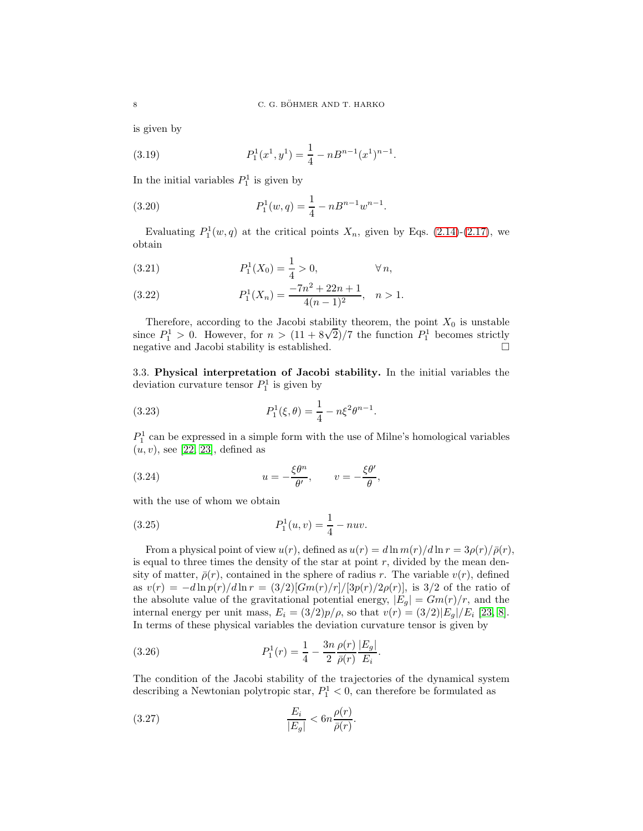is given by

(3.19) 
$$
P_1^1(x^1, y^1) = \frac{1}{4} - nB^{n-1}(x^1)^{n-1}.
$$

In the initial variables  $P_1^1$  is given by

(3.20) 
$$
P_1^1(w,q) = \frac{1}{4} - nB^{n-1}w^{n-1}.
$$

Evaluating  $P_1^1(w, q)$  at the critical points  $X_n$ , given by Eqs. [\(2.14\)](#page-3-1)-[\(2.17\)](#page-3-2), we obtain

(3.21) 
$$
P_1^1(X_0) = \frac{1}{4} > 0, \qquad \forall n,
$$

(3.22) 
$$
P_1^1(X_n) = \frac{-7n^2 + 22n + 1}{4(n-1)^2}, \quad n > 1.
$$

Therefore, according to the Jacobi stability theorem, the point  $X_0$  is unstable since  $P_1^1 > 0$ . However, for  $n > (11 + 8\sqrt{2})/7$  the function  $P_1^1$  becomes strictly negative and Jacobi stability is established.  $\hfill \Box$ 

3.3. Physical interpretation of Jacobi stability. In the initial variables the deviation curvature tensor  $P_1^1$  is given by

(3.23) 
$$
P_1^1(\xi, \theta) = \frac{1}{4} - n\xi^2 \theta^{n-1}.
$$

 $P_1^1$  can be expressed in a simple form with the use of Milne's homological variables  $(u, v)$ , see [\[22,](#page-11-10) [23\]](#page-11-14), defined as

(3.24) 
$$
u = -\frac{\xi \theta^n}{\theta'}, \qquad v = -\frac{\xi \theta'}{\theta},
$$

with the use of whom we obtain

(3.25) 
$$
P_1^1(u,v) = \frac{1}{4} - nuv.
$$

From a physical point of view  $u(r)$ , defined as  $u(r) = d \ln m(r)/d \ln r = 3\rho(r)/\bar{\rho}(r)$ , is equal to three times the density of the star at point  $r$ , divided by the mean density of matter,  $\bar{\rho}(r)$ , contained in the sphere of radius r. The variable  $v(r)$ , defined as  $v(r) = -d\ln p(r)/d\ln r = (3/2)[Gm(r)/r]/[3p(r)/2\rho(r)]$ , is 3/2 of the ratio of the absolute value of the gravitational potential energy,  $|E_g| = Gm(r)/r$ , and the internal energy per unit mass,  $E_i = (3/2)p/\rho$ , so that  $v(r) = (3/2)|E_g|/E_i$  [\[23,](#page-11-14) [8\]](#page-10-3). In terms of these physical variables the deviation curvature tensor is given by

(3.26) 
$$
P_1^1(r) = \frac{1}{4} - \frac{3n}{2} \frac{\rho(r)}{\bar{\rho}(r)} \frac{|E_g|}{E_i}.
$$

The condition of the Jacobi stability of the trajectories of the dynamical system describing a Newtonian polytropic star,  $P_1^1 < 0$ , can therefore be formulated as

$$
\frac{E_i}{|E_g|} < 6n \frac{\rho(r)}{\bar{\rho}(r)}.
$$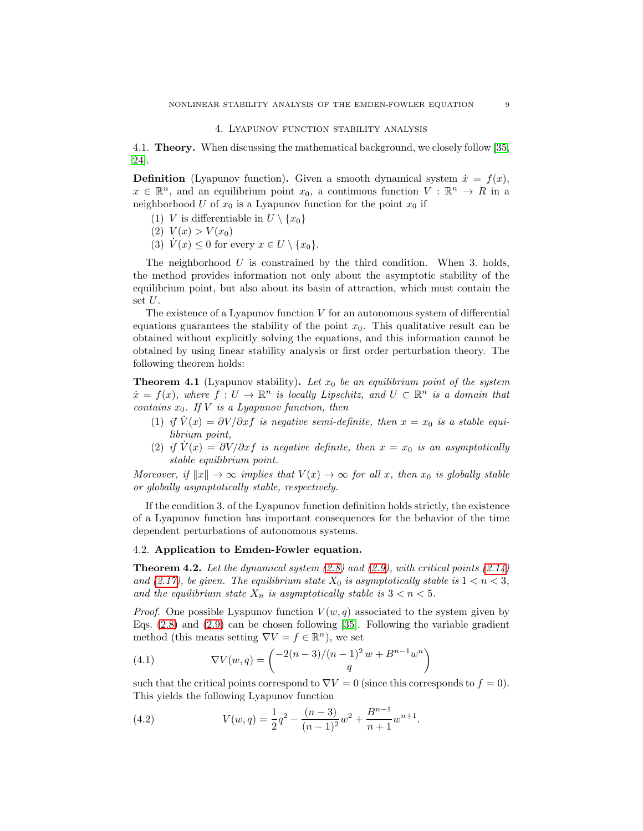### 4. Lyapunov function stability analysis

<span id="page-8-0"></span>4.1. Theory. When discussing the mathematical background, we closely follow [\[35,](#page-11-24) [24\]](#page-11-25).

**Definition** (Lyapunov function). Given a smooth dynamical system  $\dot{x} = f(x)$ ,  $x \in \mathbb{R}^n$ , and an equilibrium point  $x_0$ , a continuous function  $V : \mathbb{R}^n \to R$  in a neighborhood U of  $x_0$  is a Lyapunov function for the point  $x_0$  if

- (1) V is differentiable in  $U \setminus \{x_0\}$
- (2)  $V(x) > V(x_0)$
- (3)  $\dot{V}(x) \leq 0$  for every  $x \in U \setminus \{x_0\}.$

The neighborhood  $U$  is constrained by the third condition. When 3. holds, the method provides information not only about the asymptotic stability of the equilibrium point, but also about its basin of attraction, which must contain the set U.

The existence of a Lyapunov function  $V$  for an autonomous system of differential equations guarantees the stability of the point  $x_0$ . This qualitative result can be obtained without explicitly solving the equations, and this information cannot be obtained by using linear stability analysis or first order perturbation theory. The following theorem holds:

**Theorem 4.1** (Lyapunov stability). Let  $x_0$  be an equilibrium point of the system  $\dot{x} = f(x)$ , where  $f: U \to \mathbb{R}^n$  is locally Lipschitz, and  $U \subset \mathbb{R}^n$  is a domain that contains  $x_0$ . If V is a Lyapunov function, then

- (1) if  $\dot{V}(x) = \partial V/\partial x f$  is negative semi-definite, then  $x = x_0$  is a stable equilibrium point,
- (2) if  $V(x) = \frac{\partial V}{\partial x}$  is negative definite, then  $x = x_0$  is an asymptotically stable equilibrium point.

Moreover, if  $||x|| \to \infty$  implies that  $V(x) \to \infty$  for all x, then  $x_0$  is globally stable or globally asymptotically stable, respectively.

If the condition 3. of the Lyapunov function definition holds strictly, the existence of a Lyapunov function has important consequences for the behavior of the time dependent perturbations of autonomous systems.

### 4.2. Application to Emden-Fowler equation.

**Theorem 4.2.** Let the dynamical system  $(2.8)$  and  $(2.9)$ , with critical points  $(2.14)$ and [\(2.17\)](#page-3-2), be given. The equilibrium state  $X_0$  is asymptotically stable is  $1 < n < 3$ , and the equilibrium state  $X_n$  is asymptotically stable is  $3 < n < 5$ .

*Proof.* One possible Lyapunov function  $V(w, q)$  associated to the system given by Eqs.  $(2.8)$  and  $(2.9)$  can be chosen following [\[35\]](#page-11-24). Following the variable gradient method (this means setting  $\nabla V = f \in \mathbb{R}^n$ ), we set

(4.1) 
$$
\nabla V(w,q) = \begin{pmatrix} -2(n-3)/(n-1)^2 w + B^{n-1} w^n \\ q \end{pmatrix}
$$

such that the critical points correspond to  $\nabla V = 0$  (since this corresponds to  $f = 0$ ). This yields the following Lyapunov function

<span id="page-8-1"></span>(4.2) 
$$
V(w,q) = \frac{1}{2}q^2 - \frac{(n-3)}{(n-1)^2}w^2 + \frac{B^{n-1}}{n+1}w^{n+1}.
$$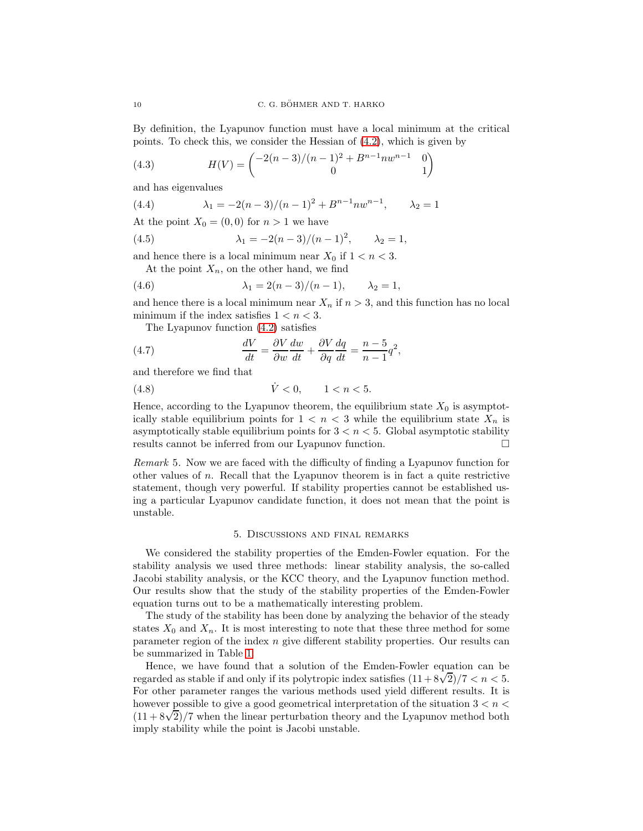By definition, the Lyapunov function must have a local minimum at the critical points. To check this, we consider the Hessian of [\(4.2\)](#page-8-1), which is given by

(4.3) 
$$
H(V) = \begin{pmatrix} -2(n-3)/(n-1)^2 + B^{n-1}nw^{n-1} & 0\\ 0 & 1 \end{pmatrix}
$$

and has eigenvalues

(4.4) 
$$
\lambda_1 = -2(n-3)/(n-1)^2 + B^{n-1} n w^{n-1}, \qquad \lambda_2 = 1
$$

At the point  $X_0 = (0, 0)$  for  $n > 1$  we have

(4.5) 
$$
\lambda_1 = -2(n-3)/(n-1)^2, \qquad \lambda_2 = 1,
$$

and hence there is a local minimum near  $X_0$  if  $1 < n < 3$ .

At the point  $X_n$ , on the other hand, we find

(4.6) 
$$
\lambda_1 = 2(n-3)/(n-1), \qquad \lambda_2 = 1,
$$

and hence there is a local minimum near  $X_n$  if  $n > 3$ , and this function has no local minimum if the index satisfies  $1 < n < 3$ .

The Lyapunov function [\(4.2\)](#page-8-1) satisfies

(4.7) 
$$
\frac{dV}{dt} = \frac{\partial V}{\partial w}\frac{dw}{dt} + \frac{\partial V}{\partial q}\frac{dq}{dt} = \frac{n-5}{n-1}q^2,
$$

and therefore we find that

$$
(4.8) \qquad \qquad \dot{V} < 0, \qquad 1 < n < 5.
$$

Hence, according to the Lyapunov theorem, the equilibrium state  $X_0$  is asymptotically stable equilibrium points for  $1 < n < 3$  while the equilibrium state  $X_n$  is asymptotically stable equilibrium points for  $3 < n < 5$ . Global asymptotic stability results cannot be inferred from our Lyapunov function.

Remark 5. Now we are faced with the difficulty of finding a Lyapunov function for other values of n. Recall that the Lyapunov theorem is in fact a quite restrictive statement, though very powerful. If stability properties cannot be established using a particular Lyapunov candidate function, it does not mean that the point is unstable.

### 5. Discussions and final remarks

<span id="page-9-0"></span>We considered the stability properties of the Emden-Fowler equation. For the stability analysis we used three methods: linear stability analysis, the so-called Jacobi stability analysis, or the KCC theory, and the Lyapunov function method. Our results show that the study of the stability properties of the Emden-Fowler equation turns out to be a mathematically interesting problem.

The study of the stability has been done by analyzing the behavior of the steady states  $X_0$  and  $X_n$ . It is most interesting to note that these three method for some parameter region of the index  $n$  give different stability properties. Our results can be summarized in Table [1.](#page-10-11)

Hence, we have found that a solution of the Emden-Fowler equation can be regarded as stable if and only if its polytropic index satisfies  $(11 + 8\sqrt{2})/7 < n < 5$ . For other parameter ranges the various methods used yield different results. It is however possible to give a good geometrical interpretation of the situation  $3 < n <$  $(11+8\sqrt{2})/7$  when the linear perturbation theory and the Lyapunov method both imply stability while the point is Jacobi unstable.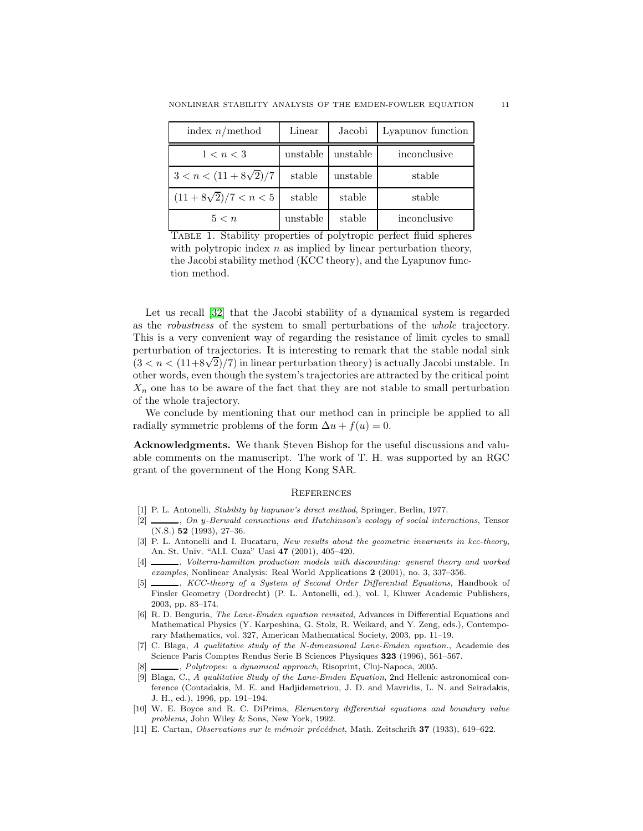| index $n/method$             | Linear   | Jacobi   | Lyapunov function |
|------------------------------|----------|----------|-------------------|
| 1 < n < 3                    | unstable | unstable | inconclusive      |
| $3 < n < (11 + 8\sqrt{2})/7$ | stable   | unstable | stable            |
| $(11+8\sqrt{2})/7 < n < 5$   | stable   | stable   | stable            |
| 5 < n                        | unstable | stable   | inconclusive      |

<span id="page-10-11"></span>Table 1. Stability properties of polytropic perfect fluid spheres with polytropic index  $n$  as implied by linear perturbation theory, the Jacobi stability method (KCC theory), and the Lyapunov function method.

Let us recall [\[32\]](#page-11-18) that the Jacobi stability of a dynamical system is regarded as the robustness of the system to small perturbations of the whole trajectory. This is a very convenient way of regarding the resistance of limit cycles to small perturbation of trajectories. It is interesting to remark that the stable nodal sink  $(3 < n < (11+8\sqrt{2})/7)$  in linear perturbation theory) is actually Jacobi unstable. In other words, even though the system's trajectories are attracted by the critical point  $X_n$  one has to be aware of the fact that they are not stable to small perturbation of the whole trajectory.

We conclude by mentioning that our method can in principle be applied to all radially symmetric problems of the form  $\Delta u + f(u) = 0$ .

Acknowledgments. We thank Steven Bishop for the useful discussions and valuable comments on the manuscript. The work of T. H. was supported by an RGC grant of the government of the Hong Kong SAR.

#### **REFERENCES**

- <span id="page-10-6"></span><span id="page-10-5"></span>[1] P. L. Antonelli, Stability by liapunov's direct method, Springer, Berlin, 1977.
- [2]  $\ldots$ , On y-Berwald connections and Hutchinson's ecology of social interactions, Tensor (N.S.) 52 (1993), 27–36.
- <span id="page-10-8"></span>[3] P. L. Antonelli and I. Bucataru, New results about the geometric invariants in kcc-theory, An. St. Univ. "Al.I. Cuza" Uasi 47 (2001), 405–420.
- <span id="page-10-7"></span>[4]  $\Box$ , Volterra-hamilton production models with discounting: general theory and worked examples, Nonlinear Analysis: Real World Applications 2 (2001), no. 3, 337–356.
- <span id="page-10-9"></span>[5] KCC-theory of a System of Second Order Differential Equations, Handbook of Finsler Geometry (Dordrecht) (P. L. Antonelli, ed.), vol. I, Kluwer Academic Publishers, 2003, pp. 83–174.
- <span id="page-10-2"></span>[6] R. D. Benguria, The Lane-Emden equation revisited, Advances in Differential Equations and Mathematical Physics (Y. Karpeshina, G. Stolz, R. Weikard, and Y. Zeng, eds.), Contemporary Mathematics, vol. 327, American Mathematical Society, 2003, pp. 11–19.
- <span id="page-10-0"></span>[7] C. Blaga, A qualitative study of the N-dimensional Lane-Emden equation., Academie des Science Paris Comptes Rendus Serie B Sciences Physiques 323 (1996), 561–567.
- <span id="page-10-3"></span><span id="page-10-1"></span>[8] , Polytropes: a dynamical approach, Risoprint, Cluj-Napoca, 2005.
- [9] Blaga, C., A qualitative Study of the Lane-Emden Equation, 2nd Hellenic astronomical conference (Contadakis, M. E. and Hadjidemetriou, J. D. and Mavridis, L. N. and Seiradakis, J. H., ed.), 1996, pp. 191–194.
- <span id="page-10-10"></span>[10] W. E. Boyce and R. C. DiPrima, Elementary differential equations and boundary value problems, John Wiley & Sons, New York, 1992.
- <span id="page-10-4"></span>[11] E. Cartan, Observations sur le mémoir précédnet, Math. Zeitschrift  $37$  (1933), 619–622.